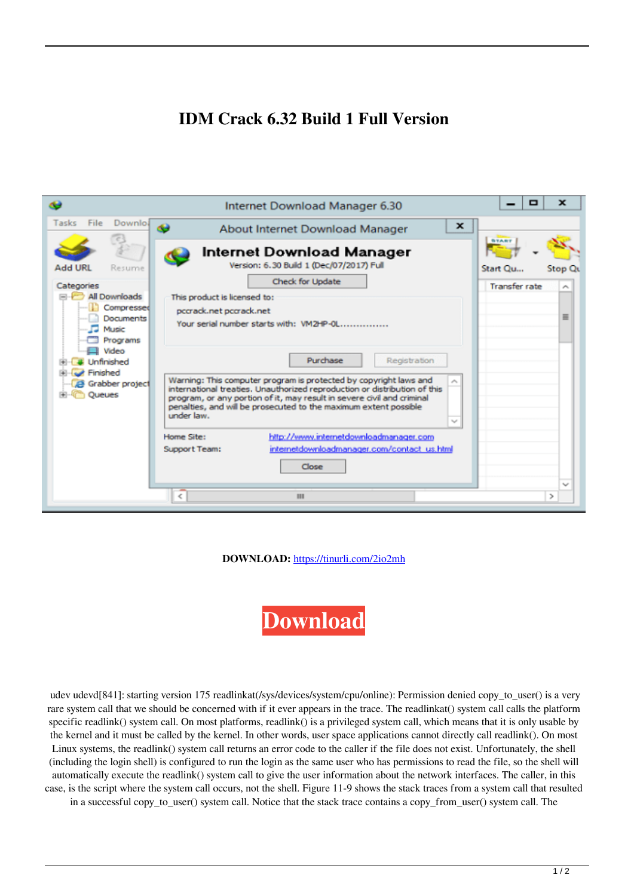## **IDM Crack 6.32 Build 1 Full Version**



**DOWNLOAD:** <https://tinurli.com/2io2mh>



udev udevd[841]: starting version 175 readlinkat(/sys/devices/system/cpu/online): Permission denied copy to user() is a very rare system call that we should be concerned with if it ever appears in the trace. The readlinkat() system call calls the platform specific readlink() system call. On most platforms, readlink() is a privileged system call, which means that it is only usable by the kernel and it must be called by the kernel. In other words, user space applications cannot directly call readlink(). On most Linux systems, the readlink() system call returns an error code to the caller if the file does not exist. Unfortunately, the shell (including the login shell) is configured to run the login as the same user who has permissions to read the file, so the shell will automatically execute the readlink() system call to give the user information about the network interfaces. The caller, in this case, is the script where the system call occurs, not the shell. Figure 11-9 shows the stack traces from a system call that resulted in a successful copy to user() system call. Notice that the stack trace contains a copy from user() system call. The